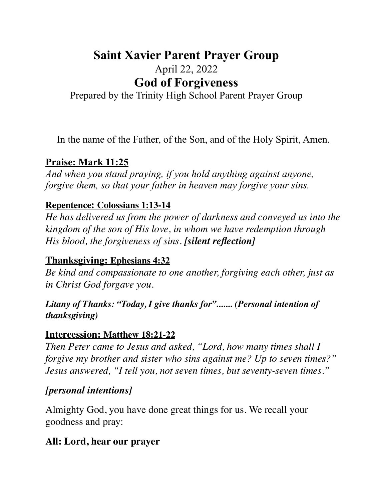# **Saint Xavier Parent Prayer Group** April 22, 2022 **God of Forgiveness**

Prepared by the Trinity High School Parent Prayer Group

In the name of the Father, of the Son, and of the Holy Spirit, Amen.

# **Praise: Mark 11:25**

*And when you stand praying, if you hold anything against anyone, forgive them, so that your father in heaven may forgive your sins.* 

# **Repentence: Colossians 1:13-14**

*He has delivered us from the power of darkness and conveyed us into the kingdom of the son of His love, in whom we have redemption through His blood, the forgiveness of sins. [silent reflection]*

# **Thanksgiving: Ephesians 4:32**

*Be kind and compassionate to one another, forgiving each other, just as in Christ God forgave you.* 

#### *Litany of Thanks: "Today, I give thanks for"....... (Personal intention of thanksgiving)*

# **Intercession: Matthew 18:21-22**

*Then Peter came to Jesus and asked, "Lord, how many times shall I forgive my brother and sister who sins against me? Up to seven times?" Jesus answered, "I tell you, not seven times, but seventy-seven times."* 

# *[personal intentions]*

Almighty God, you have done great things for us. We recall your goodness and pray:

# **All: Lord, hear our prayer**